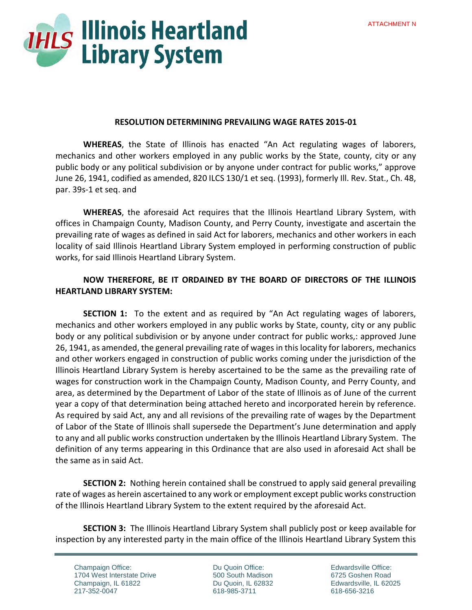

#### **RESOLUTION DETERMINING PREVAILING WAGE RATES 2015-01**

 **WHEREAS**, the State of Illinois has enacted "An Act regulating wages of laborers, mechanics and other workers employed in any public works by the State, county, city or any public body or any political subdivision or by anyone under contract for public works," approve June 26, 1941, codified as amended, 820 ILCS 130/1 et seq. (1993), formerly Ill. Rev. Stat., Ch. 48, par. 39s-1 et seq. and

**WHEREAS**, the aforesaid Act requires that the Illinois Heartland Library System, with offices in Champaign County, Madison County, and Perry County, investigate and ascertain the prevailing rate of wages as defined in said Act for laborers, mechanics and other workers in each locality of said Illinois Heartland Library System employed in performing construction of public works, for said Illinois Heartland Library System.

## **NOW THEREFORE, BE IT ORDAINED BY THE BOARD OF DIRECTORS OF THE ILLINOIS HEARTLAND LIBRARY SYSTEM:**

**SECTION 1:** To the extent and as required by "An Act regulating wages of laborers, mechanics and other workers employed in any public works by State, county, city or any public body or any political subdivision or by anyone under contract for public works,: approved June 26, 1941, as amended, the general prevailing rate of wages in this locality for laborers, mechanics and other workers engaged in construction of public works coming under the jurisdiction of the Illinois Heartland Library System is hereby ascertained to be the same as the prevailing rate of wages for construction work in the Champaign County, Madison County, and Perry County, and area, as determined by the Department of Labor of the state of Illinois as of June of the current year a copy of that determination being attached hereto and incorporated herein by reference. As required by said Act, any and all revisions of the prevailing rate of wages by the Department of Labor of the State of Illinois shall supersede the Department's June determination and apply to any and all public works construction undertaken by the Illinois Heartland Library System. The definition of any terms appearing in this Ordinance that are also used in aforesaid Act shall be the same as in said Act.

**SECTION 2:** Nothing herein contained shall be construed to apply said general prevailing rate of wages as herein ascertained to any work or employment except public works construction of the Illinois Heartland Library System to the extent required by the aforesaid Act.

**SECTION 3:** The Illinois Heartland Library System shall publicly post or keep available for inspection by any interested party in the main office of the Illinois Heartland Library System this

Champaign Office: 1704 West Interstate Drive Champaign, IL 61822 217-352-0047

Du Quoin Office: 500 South Madison Du Quoin, IL 62832 618-985-3711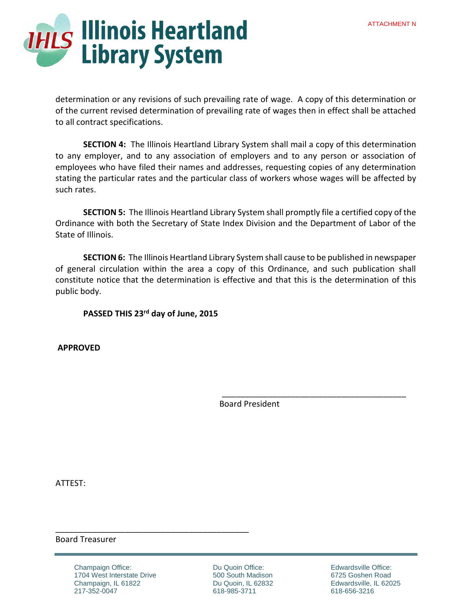

determination or any revisions of such prevailing rate of wage. A copy of this determination or of the current revised determination of prevailing rate of wages then in effect shall be attached to all contract specifications.

**SECTION 4:** The Illinois Heartland Library System shall mail a copy of this determination to any employer, and to any association of employers and to any person or association of employees who have filed their names and addresses, requesting copies of any determination stating the particular rates and the particular class of workers whose wages will be affected by such rates.

**SECTION 5:** The Illinois Heartland Library System shall promptly file a certified copy of the Ordinance with both the Secretary of State Index Division and the Department of Labor of the State of Illinois.

**SECTION 6:** The Illinois Heartland Library System shall cause to be published in newspaper of general circulation within the area a copy of this Ordinance, and such publication shall constitute notice that the determination is effective and that this is the determination of this public body.

# **PASSED THIS 23rd day of June, 2015**

 **APPROVED** 

Board President

 $\overline{\phantom{a}}$  , which is a set of the set of the set of the set of the set of the set of the set of the set of the set of the set of the set of the set of the set of the set of the set of the set of the set of the set of th

ATTEST:

#### Board Treasurer

Champaign Office: 1704 West Interstate Drive Champaign, IL 61822 217-352-0047

\_\_\_\_\_\_\_\_\_\_\_\_\_\_\_\_\_\_\_\_\_\_\_\_\_\_\_\_\_\_\_\_\_\_\_\_\_\_\_\_\_\_

Du Quoin Office: 500 South Madison Du Quoin, IL 62832 618-985-3711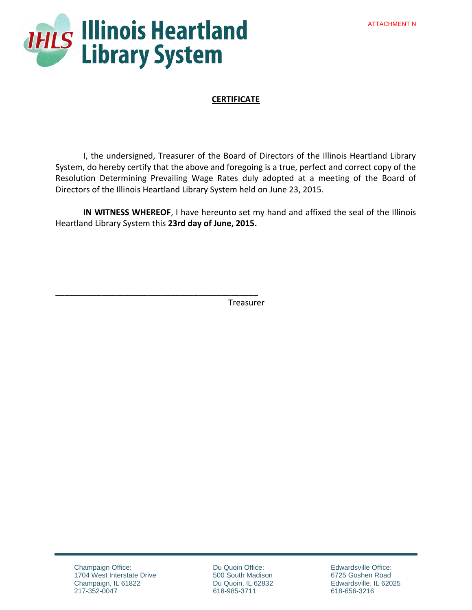

\_\_\_\_\_\_\_\_\_\_\_\_\_\_\_\_\_\_\_\_\_\_\_\_\_\_\_\_\_\_\_\_\_\_\_\_\_\_\_\_\_\_\_\_

## **CERTIFICATE**

I, the undersigned, Treasurer of the Board of Directors of the Illinois Heartland Library System, do hereby certify that the above and foregoing is a true, perfect and correct copy of the Resolution Determining Prevailing Wage Rates duly adopted at a meeting of the Board of Directors of the Illinois Heartland Library System held on June 23, 2015.

**IN WITNESS WHEREOF**, I have hereunto set my hand and affixed the seal of the Illinois Heartland Library System this **23rd day of June, 2015.**

Treasurer

Champaign Office: 1704 West Interstate Drive Champaign, IL 61822 217-352-0047

Du Quoin Office: 500 South Madison Du Quoin, IL 62832 618-985-3711